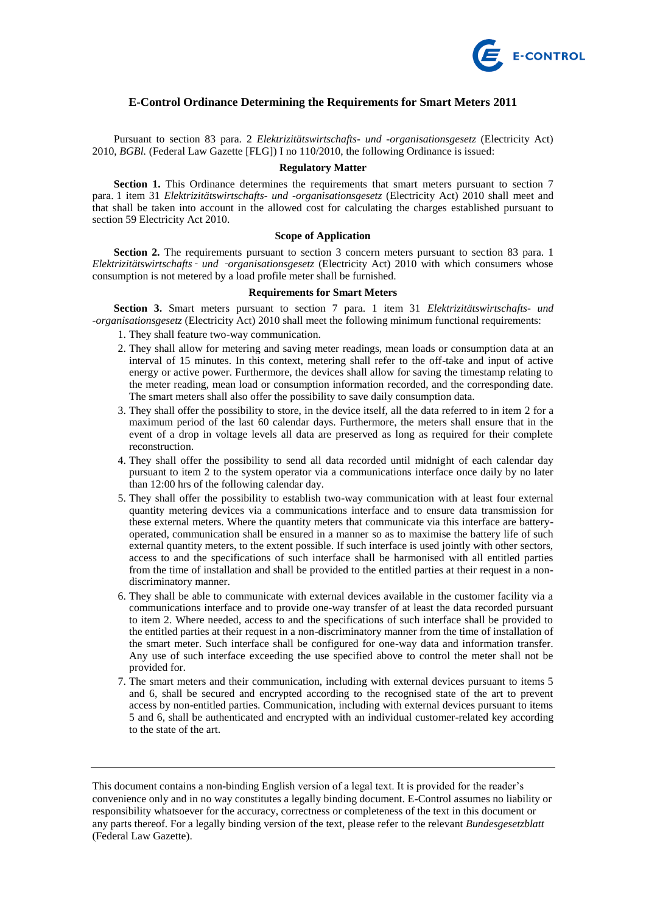

# **E-Control Ordinance Determining the Requirements for Smart Meters 2011**

Pursuant to section 83 para. 2 *Elektrizitätswirtschafts- und -organisationsgesetz* (Electricity Act) 2010, *BGBl.* (Federal Law Gazette [FLG]) I no 110/2010, the following Ordinance is issued:

#### **Regulatory Matter**

**Section 1.** This Ordinance determines the requirements that smart meters pursuant to section 7 para. 1 item 31 *Elektrizitätswirtschafts- und -organisationsgesetz* (Electricity Act) 2010 shall meet and that shall be taken into account in the allowed cost for calculating the charges established pursuant to section 59 Electricity Act 2010.

## **Scope of Application**

**Section 2.** The requirements pursuant to section 3 concern meters pursuant to section 83 para. 1 *Elektrizitätswirtschafts*‑ *und* ‑*organisationsgesetz* (Electricity Act) 2010 with which consumers whose consumption is not metered by a load profile meter shall be furnished.

### **Requirements for Smart Meters**

**Section 3.** Smart meters pursuant to section 7 para. 1 item 31 *Elektrizitätswirtschafts- und -organisationsgesetz* (Electricity Act) 2010 shall meet the following minimum functional requirements:

- 1. They shall feature two-way communication.
- 2. They shall allow for metering and saving meter readings, mean loads or consumption data at an interval of 15 minutes. In this context, metering shall refer to the off-take and input of active energy or active power. Furthermore, the devices shall allow for saving the timestamp relating to the meter reading, mean load or consumption information recorded, and the corresponding date. The smart meters shall also offer the possibility to save daily consumption data.
- 3. They shall offer the possibility to store, in the device itself, all the data referred to in item 2 for a maximum period of the last 60 calendar days. Furthermore, the meters shall ensure that in the event of a drop in voltage levels all data are preserved as long as required for their complete reconstruction.
- 4. They shall offer the possibility to send all data recorded until midnight of each calendar day pursuant to item 2 to the system operator via a communications interface once daily by no later than 12:00 hrs of the following calendar day.
- 5. They shall offer the possibility to establish two-way communication with at least four external quantity metering devices via a communications interface and to ensure data transmission for these external meters. Where the quantity meters that communicate via this interface are batteryoperated, communication shall be ensured in a manner so as to maximise the battery life of such external quantity meters, to the extent possible. If such interface is used jointly with other sectors, access to and the specifications of such interface shall be harmonised with all entitled parties from the time of installation and shall be provided to the entitled parties at their request in a nondiscriminatory manner.
- 6. They shall be able to communicate with external devices available in the customer facility via a communications interface and to provide one-way transfer of at least the data recorded pursuant to item 2. Where needed, access to and the specifications of such interface shall be provided to the entitled parties at their request in a non-discriminatory manner from the time of installation of the smart meter. Such interface shall be configured for one-way data and information transfer. Any use of such interface exceeding the use specified above to control the meter shall not be provided for.
- 7. The smart meters and their communication, including with external devices pursuant to items 5 and 6, shall be secured and encrypted according to the recognised state of the art to prevent access by non-entitled parties. Communication, including with external devices pursuant to items 5 and 6, shall be authenticated and encrypted with an individual customer-related key according to the state of the art.

This document contains a non-binding English version of a legal text. It is provided for the reader's convenience only and in no way constitutes a legally binding document. E-Control assumes no liability or responsibility whatsoever for the accuracy, correctness or completeness of the text in this document or any parts thereof. For a legally binding version of the text, please refer to the relevant *Bundesgesetzblatt*  (Federal Law Gazette).